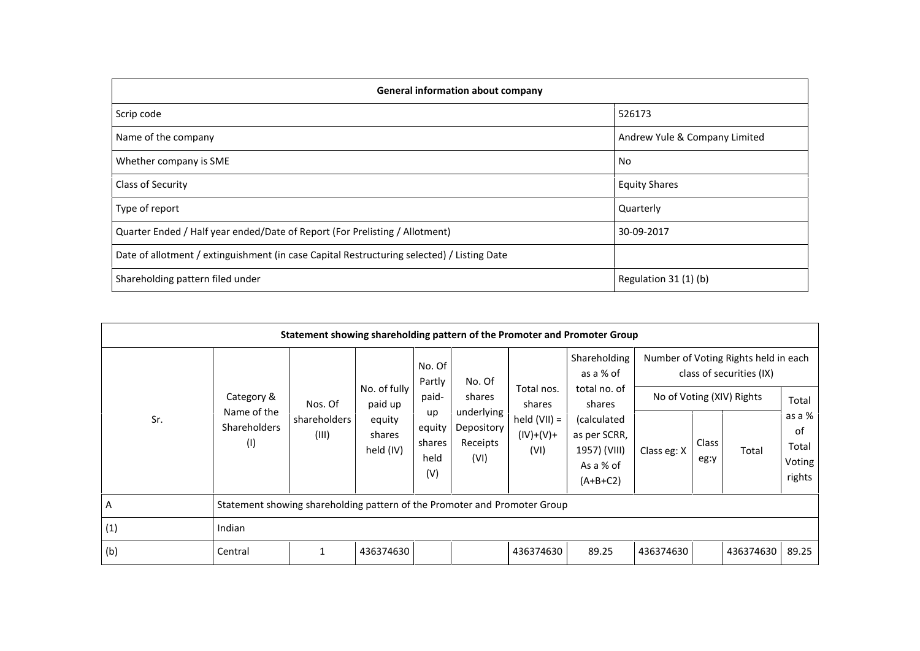| <b>General information about company</b>                                                   |                               |  |  |  |  |  |  |  |
|--------------------------------------------------------------------------------------------|-------------------------------|--|--|--|--|--|--|--|
| Scrip code                                                                                 | 526173                        |  |  |  |  |  |  |  |
| Name of the company                                                                        | Andrew Yule & Company Limited |  |  |  |  |  |  |  |
| Whether company is SME                                                                     | No                            |  |  |  |  |  |  |  |
| Class of Security                                                                          | <b>Equity Shares</b>          |  |  |  |  |  |  |  |
| Type of report                                                                             | Quarterly                     |  |  |  |  |  |  |  |
| Quarter Ended / Half year ended/Date of Report (For Prelisting / Allotment)                | 30-09-2017                    |  |  |  |  |  |  |  |
| Date of allotment / extinguishment (in case Capital Restructuring selected) / Listing Date |                               |  |  |  |  |  |  |  |
| Shareholding pattern filed under                                                           | Regulation 31 (1) (b)         |  |  |  |  |  |  |  |

|     |                                                                           | Statement showing shareholding pattern of the Promoter and Promoter Group |                                                          |                                                                    |                                                                  |                                                               |                                                                                                                               |             |               |                                                                                                        |                                                    |
|-----|---------------------------------------------------------------------------|---------------------------------------------------------------------------|----------------------------------------------------------|--------------------------------------------------------------------|------------------------------------------------------------------|---------------------------------------------------------------|-------------------------------------------------------------------------------------------------------------------------------|-------------|---------------|--------------------------------------------------------------------------------------------------------|----------------------------------------------------|
| Sr. | Category &<br>Name of the<br><b>Shareholders</b><br>(1)                   | Nos. Of<br>shareholders<br>(III)                                          | No. of fully<br>paid up<br>equity<br>shares<br>held (IV) | No. Of<br>Partly<br>paid-<br>up<br>equity<br>shares<br>held<br>(V) | No. Of<br>shares<br>underlying<br>Depository<br>Receipts<br>(VI) | Total nos.<br>shares<br>held $(VII) =$<br>$(IV)+(V)+$<br>(VI) | Shareholding<br>as a % of<br>total no. of<br>shares<br>(calculated<br>as per SCRR,<br>1957) (VIII)<br>As a % of<br>$(A+B+C2)$ | Class eg: X | Class<br>eg:y | Number of Voting Rights held in each<br>class of securities (IX)<br>No of Voting (XIV) Rights<br>Total | Total<br>as a %<br>0f<br>Total<br>Voting<br>rights |
| A   | Statement showing shareholding pattern of the Promoter and Promoter Group |                                                                           |                                                          |                                                                    |                                                                  |                                                               |                                                                                                                               |             |               |                                                                                                        |                                                    |
| (1) | Indian                                                                    |                                                                           |                                                          |                                                                    |                                                                  |                                                               |                                                                                                                               |             |               |                                                                                                        |                                                    |
| (b) | Central                                                                   |                                                                           | 436374630                                                |                                                                    |                                                                  | 436374630                                                     | 89.25                                                                                                                         | 436374630   |               | 436374630                                                                                              | 89.25                                              |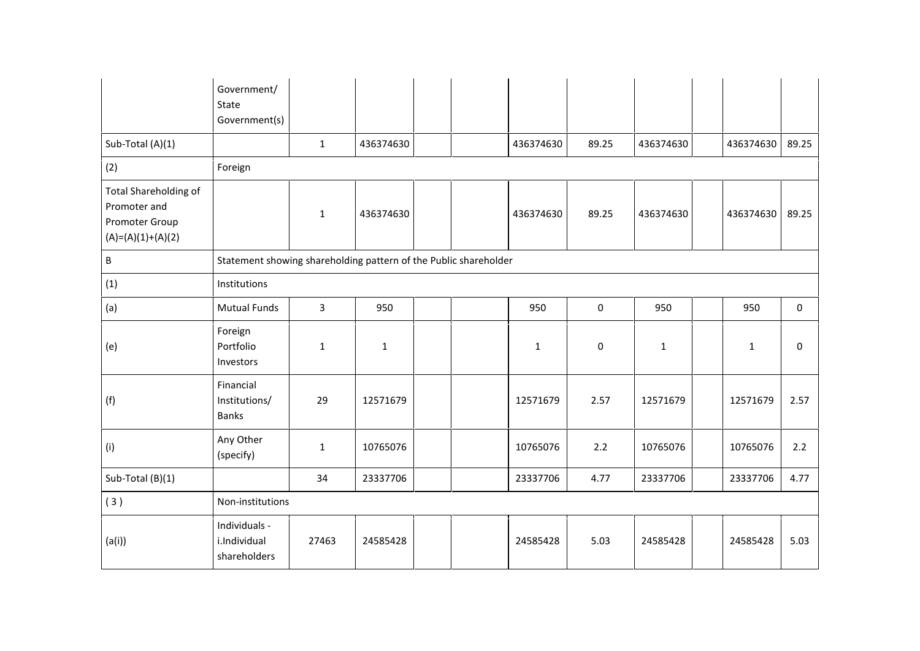|                                                                                | Government/<br>State<br>Government(s)                            |              |              |  |             |             |           |              |             |
|--------------------------------------------------------------------------------|------------------------------------------------------------------|--------------|--------------|--|-------------|-------------|-----------|--------------|-------------|
| Sub-Total (A)(1)                                                               |                                                                  | $\mathbf{1}$ | 436374630    |  | 436374630   | 89.25       | 436374630 | 436374630    | 89.25       |
| (2)                                                                            | Foreign                                                          |              |              |  |             |             |           |              |             |
| Total Shareholding of<br>Promoter and<br>Promoter Group<br>$(A)=(A)(1)+(A)(2)$ |                                                                  | $\mathbf{1}$ | 436374630    |  | 436374630   | 89.25       | 436374630 | 436374630    | 89.25       |
| $\sf B$                                                                        | Statement showing shareholding pattern of the Public shareholder |              |              |  |             |             |           |              |             |
| (1)                                                                            | Institutions                                                     |              |              |  |             |             |           |              |             |
| (a)                                                                            | <b>Mutual Funds</b>                                              | $\mathbf{3}$ | 950          |  | 950         | $\mathbf 0$ | 950       | 950          | $\mathbf 0$ |
| (e)                                                                            | Foreign<br>Portfolio<br>Investors                                | $\mathbf{1}$ | $\mathbf{1}$ |  | $\mathbf 1$ | $\mathsf 0$ | $1\,$     | $\mathbf{1}$ | 0           |
| (f)                                                                            | Financial<br>Institutions/<br><b>Banks</b>                       | 29           | 12571679     |  | 12571679    | 2.57        | 12571679  | 12571679     | 2.57        |
| (i)                                                                            | Any Other<br>(specify)                                           | $\mathbf{1}$ | 10765076     |  | 10765076    | 2.2         | 10765076  | 10765076     | 2.2         |
| Sub-Total (B)(1)                                                               |                                                                  | 34           | 23337706     |  | 23337706    | 4.77        | 23337706  | 23337706     | 4.77        |
| (3)                                                                            | Non-institutions                                                 |              |              |  |             |             |           |              |             |
| (a(i))                                                                         | Individuals -<br>i.Individual<br>shareholders                    | 27463        | 24585428     |  | 24585428    | 5.03        | 24585428  | 24585428     | 5.03        |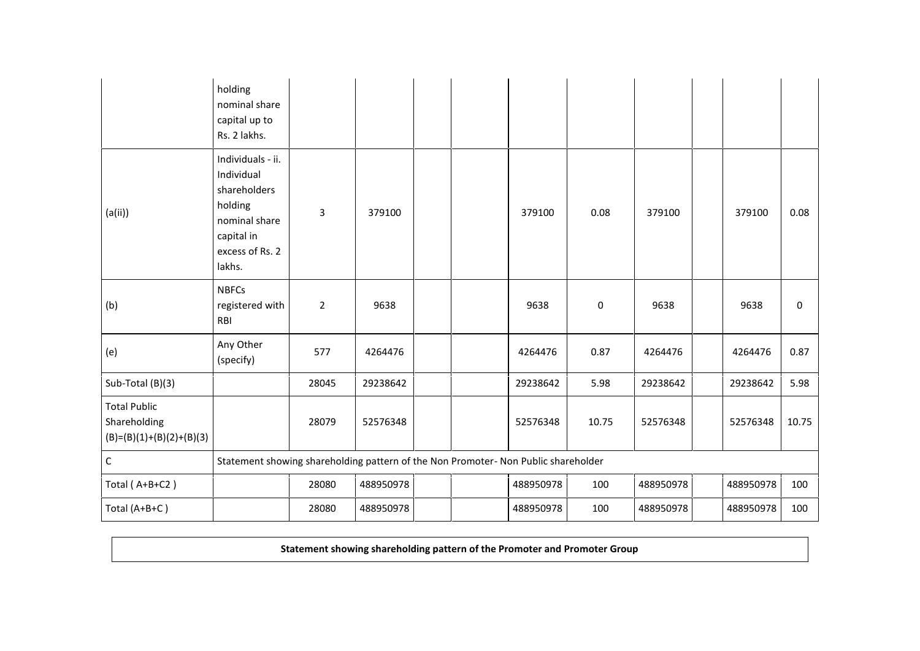|                                                                   | holding<br>nominal share<br>capital up to<br>Rs. 2 lakhs.                                                              |                |           |  |           |       |           |           |             |
|-------------------------------------------------------------------|------------------------------------------------------------------------------------------------------------------------|----------------|-----------|--|-----------|-------|-----------|-----------|-------------|
| (a(i))                                                            | Individuals - ii.<br>Individual<br>shareholders<br>holding<br>nominal share<br>capital in<br>excess of Rs. 2<br>lakhs. | 3              | 379100    |  | 379100    | 0.08  | 379100    | 379100    | 0.08        |
| (b)                                                               | <b>NBFCs</b><br>registered with<br>RBI                                                                                 | $\overline{2}$ | 9638      |  | 9638      | 0     | 9638      | 9638      | $\mathbf 0$ |
| (e)                                                               | Any Other<br>(specify)                                                                                                 | 577            | 4264476   |  | 4264476   | 0.87  | 4264476   | 4264476   | 0.87        |
| Sub-Total (B)(3)                                                  |                                                                                                                        | 28045          | 29238642  |  | 29238642  | 5.98  | 29238642  | 29238642  | 5.98        |
| <b>Total Public</b><br>Shareholding<br>$(B)=(B)(1)+(B)(2)+(B)(3)$ |                                                                                                                        | 28079          | 52576348  |  | 52576348  | 10.75 | 52576348  | 52576348  | 10.75       |
| $\mathsf C$                                                       | Statement showing shareholding pattern of the Non Promoter- Non Public shareholder                                     |                |           |  |           |       |           |           |             |
| Total (A+B+C2)                                                    |                                                                                                                        | 28080          | 488950978 |  | 488950978 | 100   | 488950978 | 488950978 | 100         |
| Total (A+B+C)                                                     |                                                                                                                        | 28080          | 488950978 |  | 488950978 | 100   | 488950978 | 488950978 | 100         |

**Statement showing shareholding pattern of the Promoter and Promoter Group**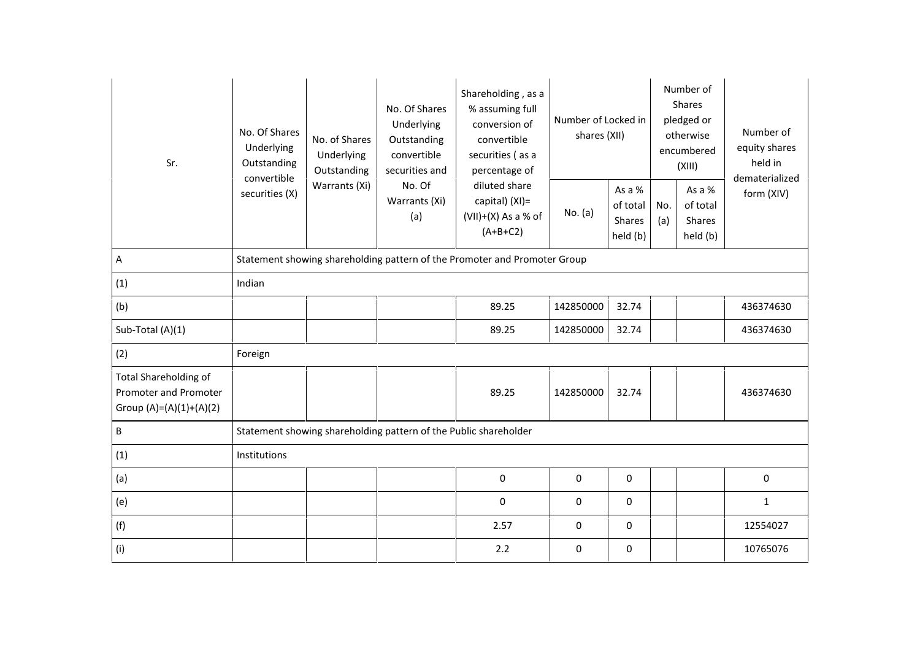| Sr.<br>convertible                                                                 | No. Of Shares<br>Underlying<br>Outstanding                                | No. of Shares<br>Underlying<br>Outstanding | No. Of Shares<br>Underlying<br>Outstanding<br>convertible<br>securities and | Shareholding, as a<br>% assuming full<br>conversion of<br>convertible<br>securities (as a<br>percentage of | Number of Locked in<br>shares (XII) | Number of<br><b>Shares</b><br>pledged or<br>otherwise<br>encumbered<br>(XIII) |            | Number of<br>equity shares<br>held in<br>dematerialized |              |  |
|------------------------------------------------------------------------------------|---------------------------------------------------------------------------|--------------------------------------------|-----------------------------------------------------------------------------|------------------------------------------------------------------------------------------------------------|-------------------------------------|-------------------------------------------------------------------------------|------------|---------------------------------------------------------|--------------|--|
|                                                                                    | securities (X)                                                            | Warrants (Xi)                              | No. Of<br>Warrants (Xi)<br>(a)                                              | diluted share<br>capital) (XI)=<br>$(VII)+(X)$ As a % of<br>$(A+B+C2)$                                     | No. (a)                             | As a %<br>of total<br>Shares<br>held (b)                                      | No.<br>(a) | As a %<br>of total<br>Shares<br>held (b)                | form (XIV)   |  |
| Α                                                                                  | Statement showing shareholding pattern of the Promoter and Promoter Group |                                            |                                                                             |                                                                                                            |                                     |                                                                               |            |                                                         |              |  |
| (1)                                                                                | Indian                                                                    |                                            |                                                                             |                                                                                                            |                                     |                                                                               |            |                                                         |              |  |
| (b)                                                                                |                                                                           |                                            |                                                                             | 89.25                                                                                                      | 142850000                           | 32.74                                                                         |            |                                                         | 436374630    |  |
| Sub-Total (A)(1)                                                                   |                                                                           |                                            |                                                                             | 89.25                                                                                                      | 142850000                           | 32.74                                                                         |            |                                                         | 436374630    |  |
| (2)                                                                                | Foreign                                                                   |                                            |                                                                             |                                                                                                            |                                     |                                                                               |            |                                                         |              |  |
| <b>Total Shareholding of</b><br>Promoter and Promoter<br>Group $(A)=(A)(1)+(A)(2)$ |                                                                           |                                            |                                                                             | 89.25                                                                                                      | 142850000                           | 32.74                                                                         |            |                                                         | 436374630    |  |
| B                                                                                  |                                                                           |                                            | Statement showing shareholding pattern of the Public shareholder            |                                                                                                            |                                     |                                                                               |            |                                                         |              |  |
| (1)                                                                                | Institutions                                                              |                                            |                                                                             |                                                                                                            |                                     |                                                                               |            |                                                         |              |  |
| (a)                                                                                |                                                                           |                                            |                                                                             | 0                                                                                                          | 0                                   | 0                                                                             |            |                                                         | $\pmb{0}$    |  |
| (e)                                                                                |                                                                           |                                            |                                                                             | $\pmb{0}$                                                                                                  | $\pmb{0}$                           | 0                                                                             |            |                                                         | $\mathbf{1}$ |  |
| (f)                                                                                |                                                                           |                                            |                                                                             | 2.57                                                                                                       | 0                                   | 0                                                                             |            |                                                         | 12554027     |  |
| (i)                                                                                |                                                                           |                                            |                                                                             | 2.2                                                                                                        | 0                                   | 0                                                                             |            |                                                         | 10765076     |  |